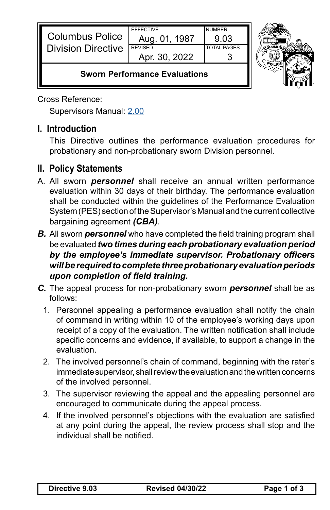| <b>Columbus Police</b><br><b>Division Directive</b> | <b>FFFFCTIVE</b><br>Aug. 01, 1987<br><b>REVISED</b><br>Apr. 30, 2022 | NI IMRFR<br>9 03<br><b>TOTAL PAGES</b> |  |
|-----------------------------------------------------|----------------------------------------------------------------------|----------------------------------------|--|
| <b>Sworn Performance Evaluations</b>                |                                                                      |                                        |  |

Cross Reference:

Supervisors Manual: [2.00](https://powerdms.com/link/CBUS/document/?id=1222742)

## **I. Introduction**

This Directive outlines the performance evaluation procedures for probationary and non-probationary sworn Division personnel.

## **II. Policy Statements**

- A. All sworn *personnel* shall receive an annual written performance evaluation within 30 days of their birthday. The performance evaluation shall be conducted within the guidelines of the Performance Evaluation System (PES) section of the Supervisor's Manual and the current collective bargaining agreement *(CBA)*.
- *B.* All sworn *personnel* who have completed the field training program shall be evaluated *two times during each probationary evaluation period by the employee's immediate supervisor. Probationary officers will be required to complete three probationary evaluation periods upon completion of field training.*
- *C.* The appeal process for non-probationary sworn *personnel* shall be as follows:
	- 1. Personnel appealing a performance evaluation shall notify the chain of command in writing within 10 of the employee's working days upon receipt of a copy of the evaluation. The written notification shall include specific concerns and evidence, if available, to support a change in the evaluation.
	- 2. The involved personnel's chain of command, beginning with the rater's immediate supervisor, shall review the evaluation and the written concerns of the involved personnel.
	- 3. The supervisor reviewing the appeal and the appealing personnel are encouraged to communicate during the appeal process.
	- 4. If the involved personnel's objections with the evaluation are satisfied at any point during the appeal, the review process shall stop and the individual shall be notified.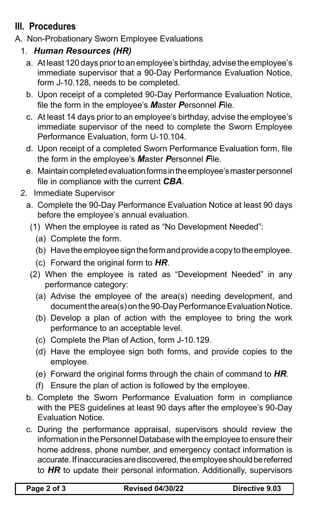## **III. Procedures**

- A. Non-Probationary Sworn Employee Evaluations
	- 1. *Human Resources (HR)*
		- a. At least 120 days prior to an employee's birthday, advise the employee's immediate supervisor that a 90-Day Performance Evaluation Notice, form J-10.128, needs to be completed.
		- b. Upon receipt of a completed 90-Day Performance Evaluation Notice, file the form in the employee's *M*aster *P*ersonnel *F*ile.
		- c. At least 14 days prior to an employee's birthday, advise the employee's immediate supervisor of the need to complete the Sworn Employee Performance Evaluation, form U-10.104.
		- d. Upon receipt of a completed Sworn Performance Evaluation form, file the form in the employee's *M*aster *P*ersonnel *F*ile.
		- e. Maintain completed evaluation forms in the employee's master personnel file in compliance with the current *CBA*.
	- 2. Immediate Supervisor
		- a. Complete the 90-Day Performance Evaluation Notice at least 90 days before the employee's annual evaluation.
			- (1) When the employee is rated as "No Development Needed":
				- (a) Complete the form.
				- (b) Have the employee sign the form and provide a copy to the employee.
				- (c) Forward the original form to *HR*.
			- (2) When the employee is rated as "Development Needed" in any performance category:
				- (a) Advise the employee of the area(s) needing development, and document the area(s) on the 90-Day Performance Evaluation Notice.
				- (b) Develop a plan of action with the employee to bring the work performance to an acceptable level.
				- (c) Complete the Plan of Action, form J-10.129.
				- (d) Have the employee sign both forms, and provide copies to the employee.
				- (e) Forward the original forms through the chain of command to *HR*.
				- (f) Ensure the plan of action is followed by the employee.
		- b. Complete the Sworn Performance Evaluation form in compliance with the PES guidelines at least 90 days after the employee's 90-Day Evaluation Notice.
		- c. During the performance appraisal, supervisors should review the information in the Personnel Database with the employee to ensure their home address, phone number, and emergency contact information is accurate. If inaccuracies are discovered, the employee should be referred to *HR* to update their personal information. Additionally, supervisors